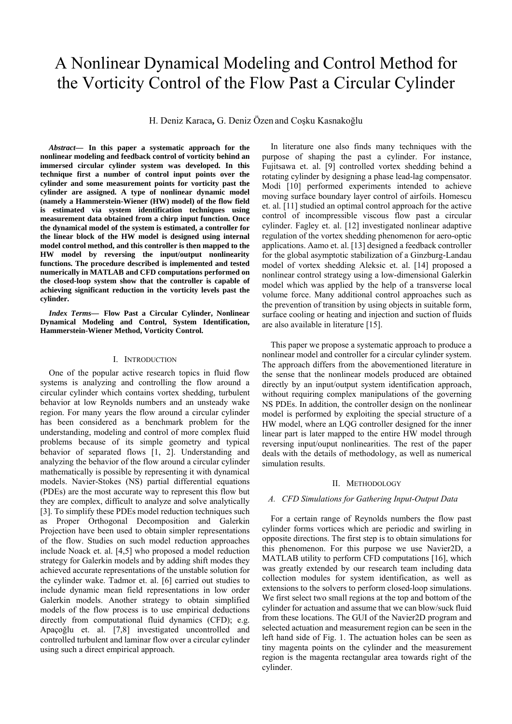# A Nonlinear Dynamical Modeling and Control Method for the Vorticity Control of the Flow Past a Circular Cylinder

H. Deniz Karaca**,** G. Deniz Özen and Coşku Kasnakoğlu

*Abstract***— In this paper a systematic approach for the nonlinear modeling and feedback control of vorticity behind an immersed circular cylinder system was developed. In this technique first a number of control input points over the cylinder and some measurement points for vorticity past the cylinder are assigned. A type of nonlinear dynamic model (namely a Hammerstein-Wiener (HW) model) of the flow field is estimated via system identification techniques using measurement data obtained from a chirp input function. Once the dynamical model of the system is estimated, a controller for the linear block of the HW model is designed using internal model control method, and this controller is then mapped to the HW model by reversing the input/output nonlinearity functions. The procedure described is implemented and tested numerically in MATLAB and CFD computations performed on the closed-loop system show that the controller is capable of achieving significant reduction in the vorticity levels past the cylinder.** 

*Index Terms***— Flow Past a Circular Cylinder, Nonlinear Dynamical Modeling and Control, System Identification, Hammerstein-Wiener Method, Vorticity Control.** 

## I. INTRODUCTION

 One of the popular active research topics in fluid flow systems is analyzing and controlling the flow around a circular cylinder which contains vortex shedding, turbulent behavior at low Reynolds numbers and an unsteady wake region. For many years the flow around a circular cylinder has been considered as a benchmark problem for the understanding, modeling and control of more complex fluid problems because of its simple geometry and typical behavior of separated flows [1, 2]. Understanding and analyzing the behavior of the flow around a circular cylinder mathematically is possible by representing it with dynamical models. Navier-Stokes (NS) partial differential equations (PDEs) are the most accurate way to represent this flow but they are complex, difficult to analyze and solve analytically [3]. To simplify these PDEs model reduction techniques such as Proper Orthogonal Decomposition and Galerkin Projection have been used to obtain simpler representations of the flow. Studies on such model reduction approaches include Noack et. al. [4,5] who proposed a model reduction strategy for Galerkin models and by adding shift modes they achieved accurate representations of the unstable solution for the cylinder wake. Tadmor et. al. [6] carried out studies to include dynamic mean field representations in low order Galerkin models. Another strategy to obtain simplified models of the flow process is to use empirical deductions directly from computational fluid dynamics (CFD); e.g. Apaçoğlu et. al. [7,8] investigated uncontrolled and controlled turbulent and laminar flow over a circular cylinder using such a direct empirical approach.

 In literature one also finds many techniques with the purpose of shaping the past a cylinder. For instance, Fujitsawa et. al. [9] controlled vortex shedding behind a rotating cylinder by designing a phase lead-lag compensator. Modi [10] performed experiments intended to achieve moving surface boundary layer control of airfoils. Homescu et. al. [11] studied an optimal control approach for the active control of incompressible viscous flow past a circular cylinder. Fagley et. al. [12] investigated nonlinear adaptive regulation of the vortex shedding phenomenon for aero-optic applications. Aamo et. al. [13] designed a feedback controller for the global asymptotic stabilization of a Ginzburg-Landau model of vortex shedding Aleksic et. al. [14] proposed a nonlinear control strategy using a low-dimensional Galerkin model which was applied by the help of a transverse local volume force. Many additional control approaches such as the prevention of transition by using objects in suitable form, surface cooling or heating and injection and suction of fluids are also available in literature [15].

 This paper we propose a systematic approach to produce a nonlinear model and controller for a circular cylinder system. The approach differs from the abovementioned literature in the sense that the nonlinear models produced are obtained directly by an input/output system identification approach, without requiring complex manipulations of the governing NS PDEs. In addition, the controller design on the nonlinear model is performed by exploiting the special structure of a HW model, where an LQG controller designed for the inner linear part is later mapped to the entire HW model through reversing input/ouput nonlinearities. The rest of the paper deals with the details of methodology, as well as numerical simulation results.

## II. METHODOLOGY

#### *A. CFD Simulations for Gathering Input-Output Data*

 For a certain range of Reynolds numbers the flow past cylinder forms vortices which are periodic and swirling in opposite directions. The first step is to obtain simulations for this phenomenon. For this purpose we use Navier2D, a MATLAB utility to perform CFD computations [16], which was greatly extended by our research team including data collection modules for system identification, as well as extensions to the solvers to perform closed-loop simulations. We first select two small regions at the top and bottom of the cylinder for actuation and assume that we can blow/suck fluid from these locations. The GUI of the Navier2D program and selected actuation and measurement region can be seen in the left hand side of Fig. 1. The actuation holes can be seen as tiny magenta points on the cylinder and the measurement region is the magenta rectangular area towards right of the cylinder.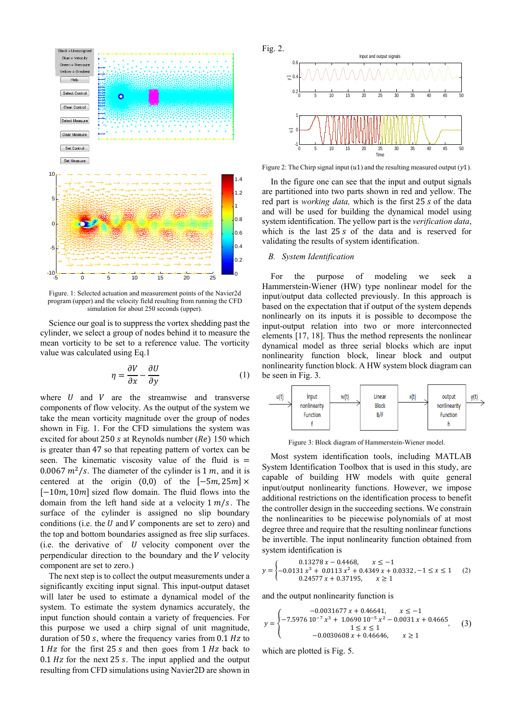

Figure. 1: Selected actuation and measurement points of the Navier2d program (upper) and the velocity field resulting from running the CFD simulation for about 250 seconds (upper).

Science our goal is to suppress the vortex shedding past the cylinder, we select a group of nodes behind it to measure the mean vorticity to be set to a reference value. The vorticity value was calculated using Eq.1

$$
\eta = \frac{\partial V}{\partial x} - \frac{\partial U}{\partial y} \tag{1}
$$

where  $U$  and  $V$  are the streamwise and transverse components of flow velocity. As the output of the system we take the mean vorticity magnitude over the group of nodes shown in Fig. 1. For the CFD simulations the system was excited for about 250 s at Reynolds number ( $Re$ ) 150 which is greater than 47 so that repeating pattern of vortex can be seen. The kinematic viscosity value of the fluid is  $=$ 0.0067  $m^2$ /s. The diameter of the cylinder is 1 m, and it is centered at the origin  $(0,0)$  of the  $[-5m, 25m] \times$  $[-10m, 10m]$  sized flow domain. The fluid flows into the domain from the left hand side at a velocity  $1 \frac{m}{s}$ . The surface of the cylinder is assigned no slip boundary conditions (i.e. the  $U$  and  $V$  components are set to zero) and the top and bottom boundaries assigned as free slip surfaces. (i.e. the derivative of  $U$  velocity component over the perpendicular direction to the boundary and the  $V$  velocity component are set to zero.)

The next step is to collect the output measurements under a significantly exciting input signal. This input-output dataset will later be used to estimate a dynamical model of the system. To estimate the system dynamics accurately, the input function should contain a variety of frequencies. For this purpose we used a chirp signal of unit magnitude, duration of 50  $s$ , where the frequency varies from 0.1  $Hz$  to  $1 Hz$  for the first  $25 s$  and then goes from  $1 Hz$  back to  $0.1$  Hz for the next 25 s. The input applied and the output resulting from CFD simulations using Navier2D are shown in



Figure 2: The Chirp signal input  $(u1)$  and the resulting measured output  $(y1)$ .

 In the figure one can see that the input and output signals are partitioned into two parts shown in red and yellow. The red part is *working data*, which is the first 25 s of the data and will be used for building the dynamical model using system identification. The yellow part is the *verification data*, which is the last  $25s$  of the data and is reserved for validating the results of system identification.

# *B. System Identification*

For the purpose of modeling we seek a Hammerstein-Wiener (HW) type nonlinear model for the input/output data collected previously. In this approach is based on the expectation that if output of the system depends nonlinearly on its inputs it is possible to decompose the input-output relation into two or more interconnected elements [17, 18]. Thus the method represents the nonlinear dynamical model as three serial blocks which are input nonlinearity function block, linear block and output nonlinearity function block. A HW system block diagram can be seen in Fig. 3.



Figure 3: Block diagram of Hammerstein-Wiener model.

Most system identification tools, including MATLAB System Identification Toolbox that is used in this study, are capable of building HW models with quite general input/output nonlinearity functions. However, we impose additional restrictions on the identification process to benefit the controller design in the succeeding sections. We constrain the nonlinearities to be piecewise polynomials of at most degree three and require that the resulting nonlinear functions be invertible. The input nonlinearity function obtained from system identification is

$$
y = \begin{cases} 0.13278 x - 0.4468, & x \le -1 \\ -0.0131 x^3 + 0.0113 x^2 + 0.4349 x + 0.0332, -1 \le x \le 1 \\ 0.24577 x + 0.37195, & x \ge 1 \end{cases}
$$
 (2)

and the output nonlinearity function is

$$
y = \begin{cases}\n-0.0031677 x + 0.46641, & x \le -1 \\
-7.5976 10^{-7} x^3 + 1.0690 10^{-5} x^2 - 0.0031 x + 0.4665, \\
1 \le x \le 1 \\
-0.0030608 x + 0.46646, & x \ge 1\n\end{cases}
$$
\n(3)

which are plotted is Fig. 5.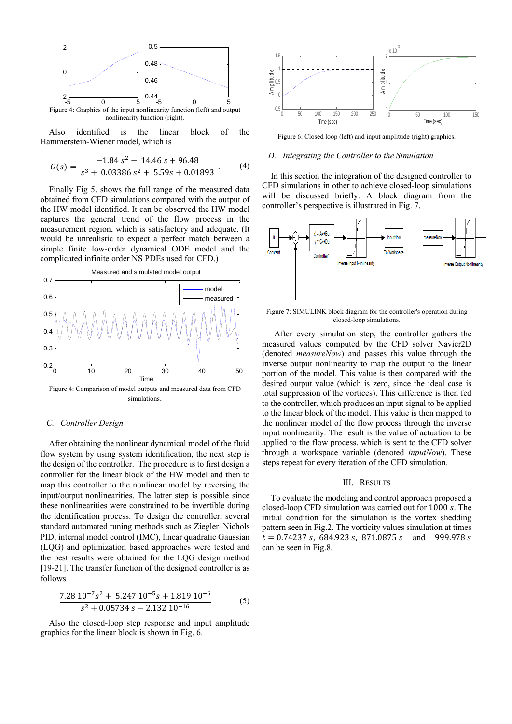

 Also identified is the linear block of the Hammerstein-Wiener model, which is

$$
G(s) = \frac{-1.84 s^2 - 14.46 s + 96.48}{s^3 + 0.03386 s^2 + 5.59s + 0.01893} .
$$
 (4)

 Finally Fig 5. shows the full range of the measured data obtained from CFD simulations compared with the output of the HW model identified. It can be observed the HW model captures the general trend of the flow process in the measurement region, which is satisfactory and adequate. (It would be unrealistic to expect a perfect match between a simple finite low-order dynamical ODE model and the complicated infinite order NS PDEs used for CFD.)



## *C. Controller Design*

After obtaining the nonlinear dynamical model of the fluid flow system by using system identification, the next step is the design of the controller. The procedure is to first design a controller for the linear block of the HW model and then to map this controller to the nonlinear model by reversing the input/output nonlinearities. The latter step is possible since these nonlinearities were constrained to be invertible during the identification process. To design the controller, several standard automated tuning methods such as Ziegler–Nichols PID, internal model control (IMC), linear quadratic Gaussian (LQG) and optimization based approaches were tested and the best results were obtained for the LQG design method [19-21]. The transfer function of the designed controller is as follows

$$
\frac{7.28 \, 10^{-7} s^2 + 5.247 \, 10^{-5} s + 1.819 \, 10^{-6}}{s^2 + 0.05734 \, s - 2.132 \, 10^{-16}} \tag{5}
$$

Also the closed-loop step response and input amplitude graphics for the linear block is shown in Fig. 6.



Figure 6: Closed loop (left) and input amplitude (right) graphics.

# *D. Integrating the Controller to the Simulation*

 In this section the integration of the designed controller to CFD simulations in other to achieve closed-loop simulations will be discussed briefly. A block diagram from the controller's perspective is illustrated in Fig. 7.



Figure 7: SIMULINK block diagram for the controller's operation during closed-loop simulations.

After every simulation step, the controller gathers the measured values computed by the CFD solver Navier2D (denoted *measureNow*) and passes this value through the inverse output nonlinearity to map the output to the linear portion of the model. This value is then compared with the desired output value (which is zero, since the ideal case is total suppression of the vortices). This difference is then fed to the controller, which produces an input signal to be applied to the linear block of the model. This value is then mapped to the nonlinear model of the flow process through the inverse input nonlinearity. The result is the value of actuation to be applied to the flow process, which is sent to the CFD solver through a workspace variable (denoted *inputNow*). These steps repeat for every iteration of the CFD simulation.

## III. RESULTS

 To evaluate the modeling and control approach proposed a closed-loop CFD simulation was carried out for 1000 s. The initial condition for the simulation is the vortex shedding pattern seen in Fig.2. The vorticity values simulation at times  $t = 0.74237$  s, 684.923 s, 871.0875 s and 999.978 s can be seen in Fig.8.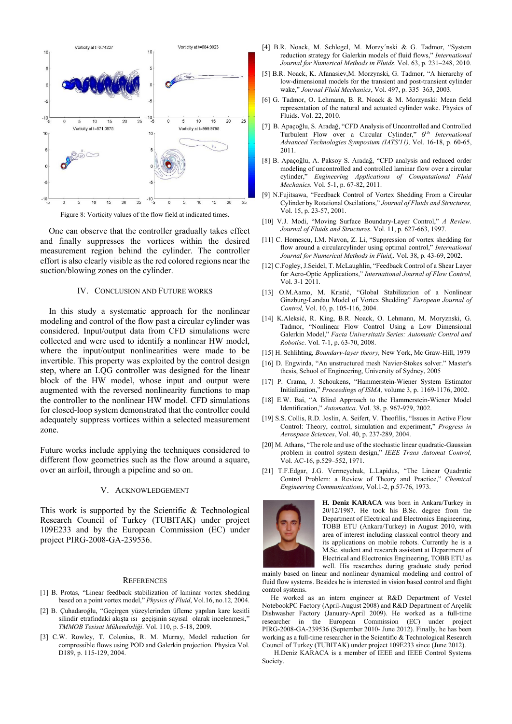

Figure 8: Vorticity values of the flow field at indicated times.

 One can observe that the controller gradually takes effect and finally suppresses the vortices within the desired measurement region behind the cylinder. The controller effort is also clearly visible as the red colored regions near the suction/blowing zones on the cylinder.

## IV. CONCLUSION AND FUTURE WORKS

 In this study a systematic approach for the nonlinear modeling and control of the flow past a circular cylinder was considered. Input/output data from CFD simulations were collected and were used to identify a nonlinear HW model, where the input/output nonlinearities were made to be invertible. This property was exploited by the control design step, where an LQG controller was designed for the linear block of the HW model, whose input and output were augmented with the reversed nonlinearity functions to map the controller to the nonlinear HW model. CFD simulations for closed-loop system demonstrated that the controller could adequately suppress vortices within a selected measurement zone.

Future works include applying the techniques considered to different flow geometries such as the flow around a square, over an airfoil, through a pipeline and so on.

## V. ACKNOWLEDGEMENT

This work is supported by the Scientific & Technological Research Council of Turkey (TUBITAK) under project 109E233 and by the European Commission (EC) under project PIRG-2008-GA-239536.

#### **REFERENCES**

- [1] B. Protas, "Linear feedback stabilization of laminar vortex shedding based on a point vortex model," *Physics of Fluid*, Vol.16, no.12*,* 2004.
- [2] B. Çuhadaroğlu, "Geçirgen yüzeylerinden üfleme yapılan kare kesitli silindir etrafındaki akışta ısı geçişinin sayısal olarak incelenmesi,' *TMMOB Tesisat Mühendisliği*. Vol. 110, p. 5-18, 2009.
- [3] C.W. Rowley, T. Colonius, R. M. Murray, Model reduction for compressible flows using POD and Galerkin projection. Physica Vol. D189, p. 115-129, 2004.
- [4] B.R. Noack, M. Schlegel, M. Morzy´nski & G. Tadmor, "System reduction strategy for Galerkin models of fluid flows," *International Journal for Numerical Methods in Fluids*. Vol. 63, p. 231–248, 2010.
- [5] B.R. Noack, K. Afanasiev,M. Morzynski, G. Tadmor, "A hierarchy of low-dimensional models for the transient and post-transient cylinder wake," *Journal Fluid Mechanics*, Vol. 497, p. 335–363, 2003.
- [6] G. Tadmor, O. Lehmann, B. R. Noack & M. Morzynski: Mean field representation of the natural and actuated cylinder wake. Physics of Fluids. Vol. 22, 2010.
- [7] B. Apaçoğlu, S. Aradağ, "CFD Analysis of Uncontrolled and Controlled Turbulent Flow over a Circular Cylinder," 6<sup>th</sup> International *Advanced Technologies Symposium (IATS'11),* Vol. 16-18, p. 60-65, 2011.
- [8] B. Apaçoğlu, A. Paksoy S. Aradağ, "CFD analysis and reduced order modeling of uncontrolled and controlled laminar flow over a circular cylinder," *Engineering Applications of Computational Fluid Mechanics.* Vol. 5-1, p. 67-82, 2011.
- [9] N.Fujitsawa, "Feedback Control of Vortex Shedding From a Circular Cylinder by Rotational Oscilations," *Journal of Fluids and Structures,* Vol. 15, p. 23-57, 2001.
- [10] V.J. Modi, "Moving Surface Boundary-Layer Control," *A Review. Journal of Fluids and Structures*. Vol. 11, p. 627-663, 1997.
- [11] C. Homescu, I.M. Navon, Z. Li, "Suppression of vortex shedding for flow around a circularcylinder using optimal control," *International Journal for Numerical Methods in Fluid,.* Vol. 38, p. 43-69, 2002.
- [12] C.Fogley, J.Seidel, T. McLaughlin, "Feedback Control of a Shear Layer for Aero-Optic Applications," *International Journal of Flow Control,* Vol. 3-1 2011.
- [13] O.M.Aamo, M. Kristić, "Global Stabilization of a Nonlinear Ginzburg-Landau Model of Vortex Shedding" *European Journal of Control,* Vol. 10, p. 105-116, 2004.
- [14] K.Aleksić, R. King, B.R. Noack, O. Lehmann, M. Moryznski, G. Tadmor, "Nonlinear Flow Control Using a Low Dimensional Galerkin Model," *Facta Universitatis Series: Automatic Control and Robotisc*. Vol. 7-1, p. 63-70, 2008.
- [15] H. Schlihting, *Boundary-layer theory,* New York, Mc Graw-Hill, 1979
- [16] D. Engwirda, "An unstructured mesh Navier-Stokes solver." Master's thesis, School of Engineering, University of Sydney, 2005
- [17] P. Crama, J. Schoukens, "Hammerstein-Wiener System Estimator Initialization," *Proceedings of ISMA,* volume 3, p. 1169-1176, 2002.
- [18] E.W. Bai, "A Blind Approach to the Hammerstein-Wiener Model Identification," *Automatica*. Vol. 38, p. 967-979, 2002.
- [19] S.S. Collis, R.D. Joslin, A. Seifert, V. Theofilis, "Issues in Active Flow Control: Theory, control, simulation and experiment," *Progress in Aerospace Sciences*, Vol. 40, p. 237-289, 2004.
- [20] M. Athans, "The role and use of the stochastic linear quadratic-Gaussian problem in control system design," *IEEE Trans Automat Control,* Vol. AC-16, p.529–552, 1971.
- [21] T.F.Edgar, J.G. Vermeychuk, L.Lapidus, "The Linear Quadratic Control Problem: a Review of Theory and Practice," *Chemical Engineering Communications*, Vol.1-2, p.57-76, 1973.



**H. Deniz KARACA** was born in Ankara/Turkey in 20/12/1987. He took his B.Sc. degree from the Department of Electrical and Electronics Engineering, TOBB ETU (Ankara/Turkey) in August 2010, with area of interest including classical control theory and its applications on mobile robots. Currently he is a M.Sc. student and research assistant at Department of Electrical and Electronics Engineering, TOBB ETU as well. His researches during graduate study period

mainly based on linear and nonlinear dynamical modeling and control of fluid flow systems. Besides he is interested in vision based control and flight control systems.

 He worked as an intern engineer at R&D Department of Vestel NotebookPC Factory (April-August 2008) and R&D Department of Arçelik Dishwasher Factory (January-April 2009). He worked as a full-time researcher in the European Commission (EC) under project PIRG-2008-GA-239536 (September 2010- June 2012). Finally, he has been working as a full-time researcher in the Scientific & Technological Research Council of Turkey (TUBITAK) under project 109E233 since (June 2012).

 H.Deniz KARACA is a member of IEEE and IEEE Control Systems Society.